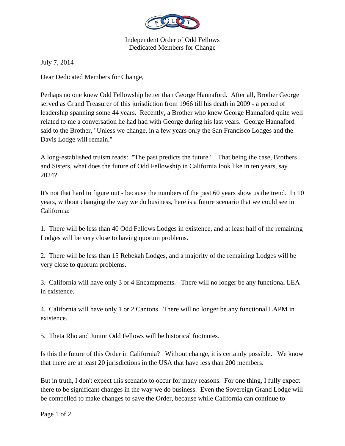

Independent Order of Odd Fellows Dedicated Members for Change

July 7, 2014

Dear Dedicated Members for Change,

Perhaps no one knew Odd Fellowship better than George Hannaford. After all, Brother George served as Grand Treasurer of this jurisdiction from 1966 till his death in 2009 - a period of leadership spanning some 44 years. Recently, a Brother who knew George Hannaford quite well related to me a conversation he had had with George during his last years. George Hannaford said to the Brother, "Unless we change, in a few years only the San Francisco Lodges and the Davis Lodge will remain."

A long-established truism reads: "The past predicts the future." That being the case, Brothers and Sisters, what does the future of Odd Fellowship in California look like in ten years, say 2024?

It's not that hard to figure out - because the numbers of the past 60 years show us the trend. In 10 years, without changing the way we do business, here is a future scenario that we could see in California:

1. There will be less than 40 Odd Fellows Lodges in existence, and at least half of the remaining Lodges will be very close to having quorum problems.

2. There will be less than 15 Rebekah Lodges, and a majority of the remaining Lodges will be very close to quorum problems.

3. California will have only 3 or 4 Encampments. There will no longer be any functional LEA in existence.

4. California will have only 1 or 2 Cantons. There will no longer be any functional LAPM in existence.

5. Theta Rho and Junior Odd Fellows will be historical footnotes.

Is this the future of this Order in California? Without change, it is certainly possible. We know that there are at least 20 jurisdictions in the USA that have less than 200 members.

But in truth, I don't expect this scenario to occur for many reasons. For one thing, I fully expect there to be significant changes in the way we do business. Even the Sovereign Grand Lodge will be compelled to make changes to save the Order, because while California can continue to